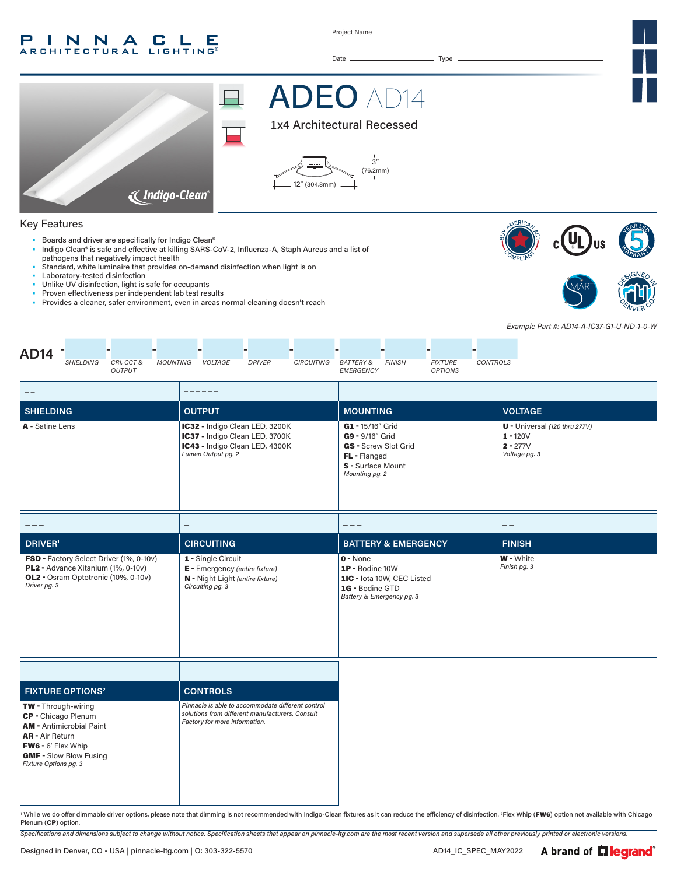#### INNACLE **ARCHITECTURAL** LIGHTING

Project Name

Date Type



# **ADEO AI**  $\overline{\phantom{a}}$





### Key Features

- Boards and driver are specifically for Indigo Clean®
- Indigo Clean® is safe and effective at killing SARS-CoV-2, Influenza-A, Staph Aureus and a list of pathogens that negatively impact health
- Standard, white luminaire that provides on-demand disinfection when light is on
- Laboratory-tested disinfection
- Unlike UV disinfection, light is safe for occupants Proven effectiveness per independent lab test results
- Provides a cleaner, safer environment, even in areas normal cleaning doesn't reach







' While we do offer dimmable driver options, please note that dimming is not recommended with Indigo-Clean fixtures as it can reduce the efficiency of disinfection. 2Flex Whip (FW6) option not available with Chicago Plenum (CP) option.

*Specifications and dimensions subject to change without notice. Specification sheets that appear on pinnacle-ltg.com are the most recent version and supersede all other previously printed or electronic versions.*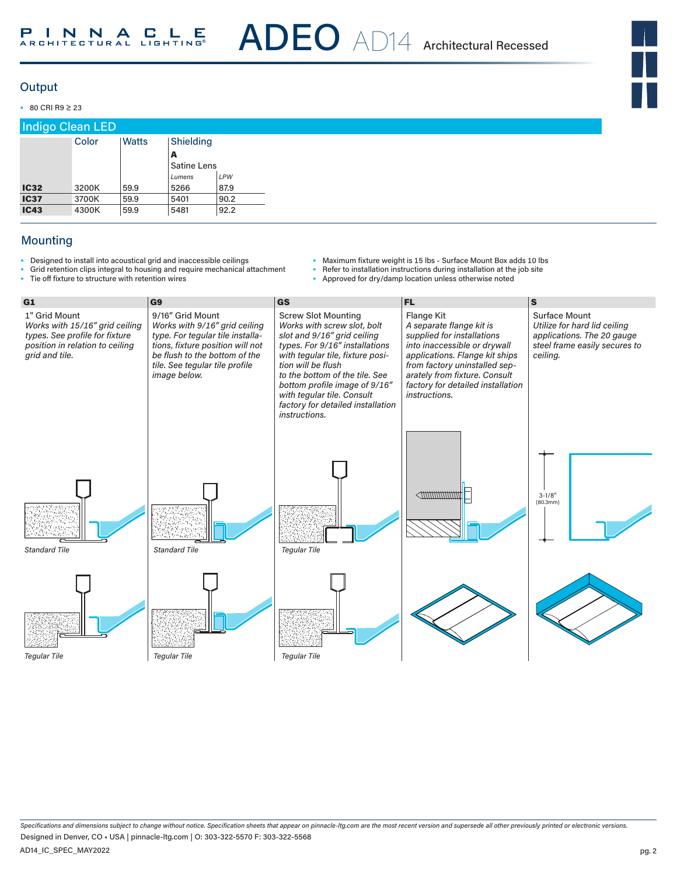### **Output**

• 80 CRI R9 ≥ 23

| <b>Indigo Clean LED</b> |       |       |                    |      |  |  |
|-------------------------|-------|-------|--------------------|------|--|--|
|                         | Color | Watts | Shielding          |      |  |  |
|                         | A     |       |                    |      |  |  |
|                         |       |       | <b>Satine Lens</b> |      |  |  |
|                         |       |       | Lumens             | LPW  |  |  |
| <b>IC32</b>             | 3200K | 59.9  | 5266               | 87.9 |  |  |
| <b>IC37</b>             | 3700K | 59.9  | 5401               | 90.2 |  |  |
| <b>IC43</b>             | 4300K | 59.9  | 5481               | 92.2 |  |  |

## Mounting

- Designed to install into acoustical grid and inaccessible ceilings
- Grid retention clips integral to housing and require mechanical attachment<br>• Tie off fixture to structure with retention wires Tie off fixture to structure with retention wires
- Maximum fixture weight is 15 lbs Surface Mount Box adds 10 lbs
- Refer to installation instructions during installation at the job site
	- Approved for dry/damp location unless otherwise noted



*Specifications and dimensions subject to change without notice. Specification sheets that appear on pinnacle-ltg.com are the most recent version and supersede all other previously printed or electronic versions.* AD14\_IC\_SPEC\_MAY2022 Designed in Denver, CO • USA | pinnacle-ltg.com | O: 303-322-5570 F: 303-322-5568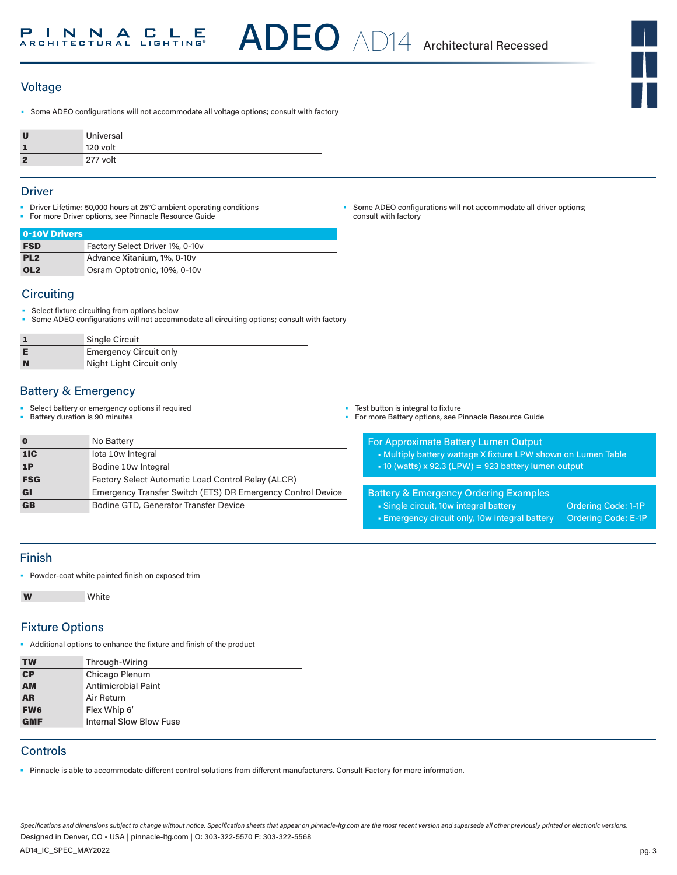## **Voltage**

• Some ADEO configurations will not accommodate all voltage options; consult with factory

|   | Universal |
|---|-----------|
|   | 120 volt  |
| c | 277 volt  |

### **Driver**

- Driver Lifetime: 50,000 hours at 25°C ambient operating conditions • For more Driver options, see Pinnacle Resource Guide
- Some ADEO configurations will not accommodate all driver options; consult with factory

| 0-10V Drivers   |                                 |
|-----------------|---------------------------------|
| <b>FSD</b>      | Factory Select Driver 1%, 0-10v |
| PL <sub>2</sub> | Advance Xitanium, 1%, 0-10y     |
| OL <sub>2</sub> | Osram Optotronic, 10%, 0-10y    |

### **Circuiting**

- Select fixture circuiting from options below
- Some ADEO configurations will not accommodate all circuiting options; consult with factory

|   | <b>Single Circuit</b>         |
|---|-------------------------------|
|   | <b>Emergency Circuit only</b> |
| N | Night Light Circuit only      |

### Battery & Emergency

- Select battery or emergency options if required
- Battery duration is 90 minutes

| $\bf{0}$   | No Battery                                                  |
|------------|-------------------------------------------------------------|
| 1IC        | lota 10w Integral                                           |
| 1P         | Bodine 10w Integral                                         |
| <b>FSG</b> | Factory Select Automatic Load Control Relay (ALCR)          |
| GI         | Emergency Transfer Switch (ETS) DR Emergency Control Device |
| <b>GB</b>  | Bodine GTD, Generator Transfer Device                       |

- Test button is integral to fixture
- For more Battery options, see Pinnacle Resource Guide

#### For Approximate Battery Lumen Output

- Multiply battery wattage X fixture LPW shown on Lumen Table
- 10 (watts) x 92.3 (LPW) = 923 battery lumen output

### Battery & Emergency Ordering Examples

- Single circuit, 10w integral battery **Ordering Code: 1-1P** • Emergency circuit only, 10w integral battery Ordering Code: E-1P
- 

# Finish

• Powder-coat white painted finish on exposed trim

**W** White

### Fixture Options

• Additional options to enhance the fixture and finish of the product

| <b>TW</b>       | Through-Wiring          |
|-----------------|-------------------------|
| CP              | Chicago Plenum          |
| <b>AM</b>       | Antimicrobial Paint     |
| <b>AR</b>       | Air Return              |
| FW <sub>6</sub> | Flex Whip 6'            |
| <b>GMF</b>      | Internal Slow Blow Fuse |

### **Controls**

• Pinnacle is able to accommodate different control solutions from different manufacturers. Consult Factory for more information.

*Specifications and dimensions subject to change without notice. Specification sheets that appear on pinnacle-ltg.com are the most recent version and supersede all other previously printed or electronic versions.* Designed in Denver, CO • USA | pinnacle-ltg.com | O: 303-322-5570 F: 303-322-5568